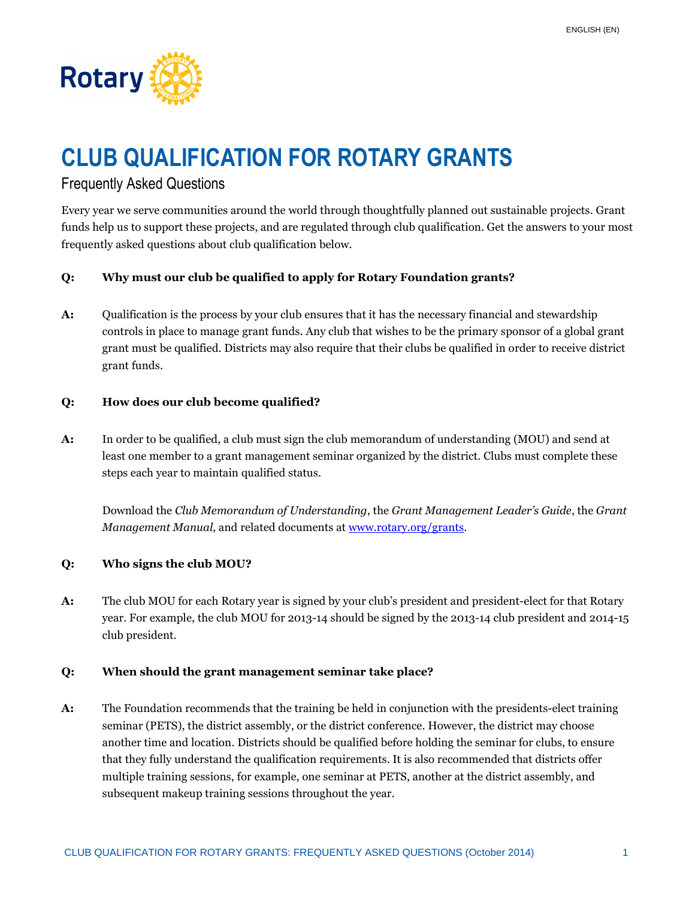

# **CLUB QUALIFICATION FOR ROTARY GRANTS**

# Frequently Asked Questions

Every year we serve communities around the world through thoughtfully planned out sustainable projects. Grant funds help us to support these projects, and are regulated through club qualification. Get the answers to your most frequently asked questions about club qualification below.

# **Q: Why must our club be qualified to apply for Rotary Foundation grants?**

A: Qualification is the process by your club ensures that it has the necessary financial and stewardship controls in place to manage grant funds. Any club that wishes to be the primary sponsor of a global grant grant must be qualified. Districts may also require that their clubs be qualified in order to receive district grant funds.

#### **Q: How does our club become qualified?**

**A:** In order to be qualified, a club must sign the club memorandum of understanding (MOU) and send at least one member to a grant management seminar organized by the district. Clubs must complete these steps each year to maintain qualified status.

Download the *Club Memorandum of Understanding*, the *Grant Management Leader's Guide*, the *Grant Management Manual,* and related documents at www.rotary.org/grants.

#### **Q: Who signs the club MOU?**

**A:** The club MOU for each Rotary year is signed by your club's president and president-elect for that Rotary year. For example, the club MOU for 2013-14 should be signed by the 2013-14 club president and 2014-15 club president.

#### **Q: When should the grant management seminar take place?**

**A:** The Foundation recommends that the training be held in conjunction with the presidents-elect training seminar (PETS), the district assembly, or the district conference. However, the district may choose another time and location. Districts should be qualified before holding the seminar for clubs, to ensure that they fully understand the qualification requirements. It is also recommended that districts offer multiple training sessions, for example, one seminar at PETS, another at the district assembly, and subsequent makeup training sessions throughout the year.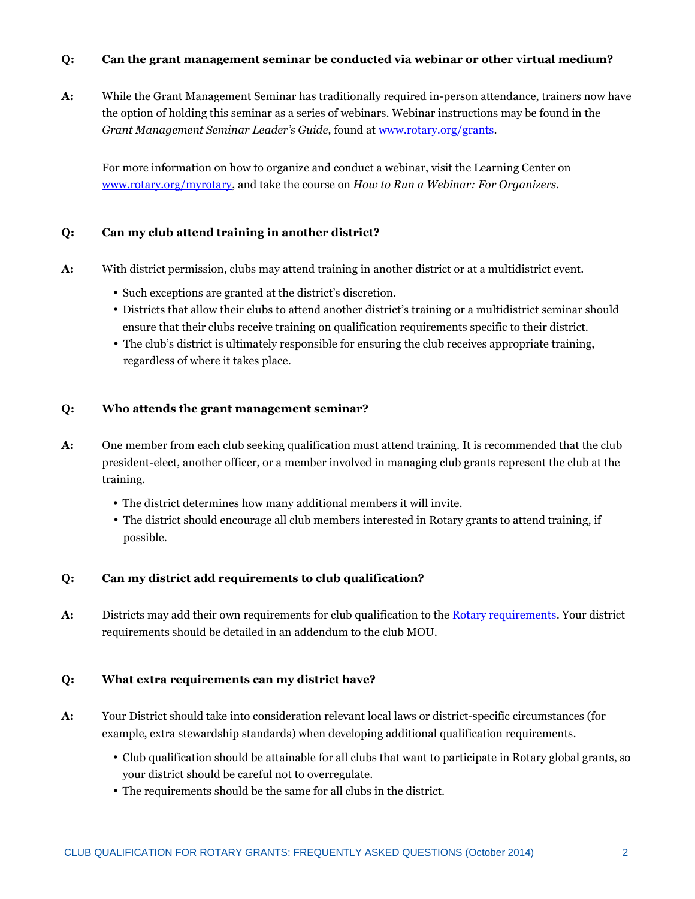## **Q: Can the grant management seminar be conducted via webinar or other virtual medium?**

**A:** While the Grant Management Seminar has traditionally required in-person attendance, trainers now have the option of holding this seminar as a series of webinars. Webinar instructions may be found in the *Grant Management Seminar Leader's Guide,* found at www.rotary.org/grants.

 For more information on how to organize and conduct a webinar, visit the Learning Center on www.rotary.org/myrotary, and take the course on *How to Run a Webinar: For Organizers.*

## **Q: Can my club attend training in another district?**

- **A:** With district permission, clubs may attend training in another district or at a multidistrict event.
	- Such exceptions are granted at the district's discretion.
	- Districts that allow their clubs to attend another district's training or a multidistrict seminar should ensure that their clubs receive training on qualification requirements specific to their district.
	- The club's district is ultimately responsible for ensuring the club receives appropriate training, regardless of where it takes place.

## **Q: Who attends the grant management seminar?**

- **A:** One member from each club seeking qualification must attend training. It is recommended that the club president-elect, another officer, or a member involved in managing club grants represent the club at the training.
	- The district determines how many additional members it will invite.
	- The district should encourage all club members interested in Rotary grants to attend training, if possible.

#### **Q: Can my district add requirements to club qualification?**

**A:** Districts may add their own requirements for club qualification to the Rotary requirements. Your district requirements should be detailed in an addendum to the club MOU.

#### **Q: What extra requirements can my district have?**

- **A:** Your District should take into consideration relevant local laws or district-specific circumstances (for example, extra stewardship standards) when developing additional qualification requirements.
	- Club qualification should be attainable for all clubs that want to participate in Rotary global grants, so your district should be careful not to overregulate.
	- The requirements should be the same for all clubs in the district.